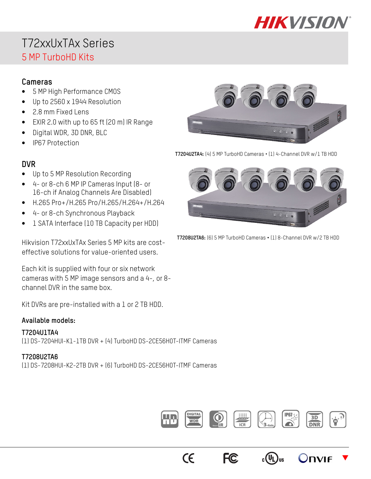

# T72xxUxTAx Series 5 MP TurboHD Kits

### **Cameras**

- 5 MP High Performance CMOS
- Up to 2560 x 1944 Resolution
- 2.8 mm Fixed Lens
- EXIR 2.0 with up to 65 ft (20 m) IR Range
- Digital WDR, 3D DNR, BLC
- IP67 Protection

### **DVR**

- Up to 5 MP Resolution Recording
- 4- or 8-ch 6 MP IP Cameras Input (8- or 16-ch if Analog Channels Are Disabled)
- H.265 Pro+/H.265 Pro/H.265/H.264+/H.264
- 4- or 8-ch Synchronous Playback
- 1 SATA Interface (10 TB Capacity per HDD)

Hikvision T72xxUxTAx Series 5 MP kits are costeffective solutions for value-oriented users.

Each kit is supplied with four or six network cameras with 5 MP image sensors and a 4-, or 8 channel DVR in the same box.

Kit DVRs are pre-installed with a 1 or 2 TB HDD.

### **Available models:**

### **T7204U1TA4**

(1) DS-7204HUI-K1-1TB DVR + (4) TurboHD DS-2CE56H0T-ITMF Cameras

### **T7208U2TA6**

(1) DS-7208HUI-K2-2TB DVR + (6) TurboHD DS-2CE56H0T-ITMF Cameras



**T7204U2TA4:** (4) 5 MP TurboHD Cameras • (1) 4-Channel DVR w/1 TB HDD



**T7208U2TA6:** (6) 5 MP TurboHD Cameras **•** (1) 8-Channel DVR w/2 TB HDD



 $_{c}$ (VL)

**FC** 

 $\epsilon$ 

 $\overline{\blacktriangledown}$ 

**DVIF**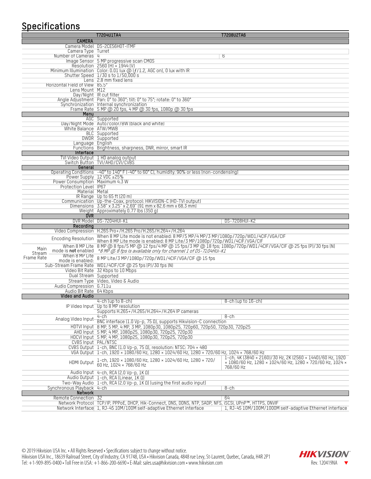# **Specifications**

|                                                    | T7204U1TA4<br>T7208U2TA6                                                                                                                                                                                                                     |
|----------------------------------------------------|----------------------------------------------------------------------------------------------------------------------------------------------------------------------------------------------------------------------------------------------|
| <b>CAMERA</b>                                      |                                                                                                                                                                                                                                              |
|                                                    | Camera Model DS-2CE56H0T-ITMF                                                                                                                                                                                                                |
| Camera Type Turret                                 |                                                                                                                                                                                                                                              |
| Number of Cameras 4                                | 6                                                                                                                                                                                                                                            |
|                                                    | Image Sensor 5 MP progressive scan CMOS<br>Resolution 2560 (H) × 1944 (V)                                                                                                                                                                    |
|                                                    |                                                                                                                                                                                                                                              |
|                                                    | Minimum Illumination Color: 0.01 lux @ (f/1.2, AGC on), 0 lux with IR<br>Shutter Speed 1/30 s to 1/50,000 s                                                                                                                                  |
|                                                    | Lens 2.8 mm fixed lens                                                                                                                                                                                                                       |
| Horizontal Field of View 85.5°                     |                                                                                                                                                                                                                                              |
| Lens Mount M12                                     |                                                                                                                                                                                                                                              |
|                                                    | Day/Night IR cut filter                                                                                                                                                                                                                      |
|                                                    | Angle Adjustment Pan: 0° to 360°; tilt: 0° to 75°; rotate: 0° to 360°                                                                                                                                                                        |
|                                                    | Synchronization Internal synchronization                                                                                                                                                                                                     |
|                                                    | Frame Rate 5 MP @ 20 fps, 4 MP @ 30 fps, 1080p @ 30 fps                                                                                                                                                                                      |
| Menu                                               |                                                                                                                                                                                                                                              |
|                                                    | AGC Supported                                                                                                                                                                                                                                |
| White Balance ATW/MWB                              | Day/Night Mode Auto/color/BW (black and white)                                                                                                                                                                                               |
|                                                    | <b>BLC</b> Supported                                                                                                                                                                                                                         |
|                                                    | DWDR Supported                                                                                                                                                                                                                               |
| Language English                                   |                                                                                                                                                                                                                                              |
|                                                    | Functions Brightness, sharpness, DNR, mirror, smart IR                                                                                                                                                                                       |
| Interface                                          |                                                                                                                                                                                                                                              |
|                                                    | TVI Video Output 1 HD analog output                                                                                                                                                                                                          |
|                                                    | Switch Button TVI/AHD/CVI/CVBS                                                                                                                                                                                                               |
| General                                            |                                                                                                                                                                                                                                              |
|                                                    | Operating Conditions -40° to 140° F (-40° to 60° C), humidity: 90% or less (non-condensing)                                                                                                                                                  |
| Power Consumption Maximum 4.3 W                    | Power Supply 12 VDC ±25%                                                                                                                                                                                                                     |
| Protection Level IP67                              |                                                                                                                                                                                                                                              |
| Material Metal                                     |                                                                                                                                                                                                                                              |
|                                                    | IR Range Up to 65 ft (20 m)                                                                                                                                                                                                                  |
|                                                    | Communication Up-the-Coax, protocol: HIKVISION-C (HD-TVI output)                                                                                                                                                                             |
|                                                    | Dimensions $3.58" \times 3.25" \times 2.69"$ (91 mm x 82.6 mm x 68.3 mm)                                                                                                                                                                     |
|                                                    | Weight Approximately 0.77 lbs (350 g)                                                                                                                                                                                                        |
| <b>DVR</b>                                         |                                                                                                                                                                                                                                              |
|                                                    | DVR Model DS-7204HUI-K1<br><b>DS-7208HUI-K2</b>                                                                                                                                                                                              |
|                                                    |                                                                                                                                                                                                                                              |
| Recording                                          |                                                                                                                                                                                                                                              |
|                                                    | Video Compression H.265 Pro+/H.265 Pro/H.265/H.264+/H.264                                                                                                                                                                                    |
|                                                    | When 8 MP Lite mode is not enabled: 8 MP/5 MP/4 MP/3 MP/1080p/720p/WD1/4CIF/VGA/CIF                                                                                                                                                          |
| <b>Encoding Resolution</b>                         | When 8 MP Lite mode is enabled: 8 MP Lite/3 MP/1080p/720p/WD1/4ClF/VGA/ClF                                                                                                                                                                   |
| Main                                               | When 8 MP Lite 8 MP @ 8 fps/5 MP @ 12 fps/4 MP @ 15 fps/3 MP @ 18 fps; 1080p/720p/WD1/4CIF/VGA/CIF @ 25 fps (P)/30 fps (N)                                                                                                                   |
| Stream                                             | mode is not enabled *8 MF @ 8 fps is available only for channel 1 of DS-7204HUi-K1                                                                                                                                                           |
| When 8 MP Lite<br>Frame Rate                       | 8 MP Lite/3 MP/1080p/720p/WD1/4CIF/VGA/CIF @ 15 fps                                                                                                                                                                                          |
| mode is enabled:                                   |                                                                                                                                                                                                                                              |
|                                                    | Sub-Stream Frame Rate WD1/4CIF/CIF @ 25 fps (P)/30 fps (N)                                                                                                                                                                                   |
|                                                    | Video Bit Rate 32 Kbps to 10 Mbps                                                                                                                                                                                                            |
|                                                    | Dual Stream Supported                                                                                                                                                                                                                        |
|                                                    | Stream Type Video, Video & Audio                                                                                                                                                                                                             |
| Audio Compression G.711u<br>Audio Bit Rate 64 Kbps |                                                                                                                                                                                                                                              |
| Video and Audio                                    |                                                                                                                                                                                                                                              |
|                                                    | 4-ch (up to 8-ch)<br>$8$ -ch (up to $16$ -ch)                                                                                                                                                                                                |
|                                                    | IP Video Input Up to 8 MP resolution                                                                                                                                                                                                         |
|                                                    | Supports H.265+/H.265/H.264+/H.264 IP cameras                                                                                                                                                                                                |
|                                                    | $4$ -ch<br>8-ch                                                                                                                                                                                                                              |
| Analog Video Input-                                | BNC interface (1.0 Vp-p, 75 0), supports Hikvision-C connection                                                                                                                                                                              |
|                                                    | HDTVI Input 8 MP, 5 MP, 4 MP, 3 MP, 1080p30, 1080p25, 720p60, 720p50, 720p30, 720p25                                                                                                                                                         |
|                                                    | AHD Input 5 MP, 4 MP, 1080p25, 1080p30, 720p25, 720p30                                                                                                                                                                                       |
|                                                    | HDCVI Input 5 MP, 4 MP, 1080p25, 1080p30, 720p25, 720p30                                                                                                                                                                                     |
|                                                    | <b>CVBS Input PAL/NTSC</b>                                                                                                                                                                                                                   |
|                                                    | CVBS Output 1-ch, BNC (1.0 Vp-p, 75 0), resolution: NTSC: 704 x 480                                                                                                                                                                          |
|                                                    | VGA 0utput 1-ch, 1920 × 1080/60 Hz, 1280 × 1024/60 Hz, 1280 × 720/60 Hz, 1024 × 768/60 Hz                                                                                                                                                    |
| HDMI 0utput                                        | 1-ch, 4K (3840 × 2160)/30 Hz, 2K (2560 × 1440)/60 Hz, 1920<br>1-ch, 1920 × 1080/60 Hz, 1280 × 1024/60 Hz, 1280 × 720/<br>× 1080/60 Hz, 1280 × 1024/60 Hz, 1280 × 720/60 Hz, 1024 ×<br>60 Hz, 1024 × 768/60 Hz                                |
|                                                    | 768/60 Hz                                                                                                                                                                                                                                    |
|                                                    | Audio Input 4-ch, RCA (2.0 Vp-p, 1K 0)                                                                                                                                                                                                       |
|                                                    | Audio Output 1-ch, RCA (Linear, 1K Q)                                                                                                                                                                                                        |
| Synchronous Playback 4-ch                          | Two-Way Audio 1-ch, RCA (2.0 Vp-p, 1K Ω) (using the first audio input)                                                                                                                                                                       |
| Network                                            | 8-ch                                                                                                                                                                                                                                         |
| Remote Connection 32                               | 64                                                                                                                                                                                                                                           |
|                                                    | Network Protocol TCP/IP, PPPoE, DHCP, Hik-Connect, DNS, DDNS, NTP, SADP, NFS, iSCSI, UPnP™, HTTPS, ONVIF<br>Network Interface 1, RJ-45 10M/100M self-adaptive Ethernet interface<br>1, RJ-45 10M/100M/1000M self-adaptive Ethernet interface |

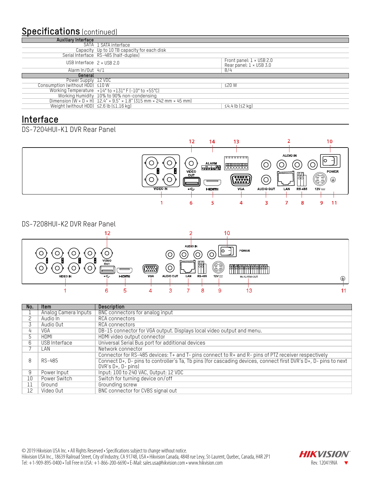## **Specifications** (continued)

| <b>Auxiliary Interface</b>              |                                                                                                                                                           |                                                                   |
|-----------------------------------------|-----------------------------------------------------------------------------------------------------------------------------------------------------------|-------------------------------------------------------------------|
|                                         | SATA 1 SATA interface                                                                                                                                     |                                                                   |
|                                         | Capacity Up to 10 TB capacity for each disk                                                                                                               |                                                                   |
|                                         | Serial Interface RS-485 (half-duplex)                                                                                                                     |                                                                   |
| USB Interface $2 \times$ USB 2.0        |                                                                                                                                                           | Front panel: $1 \times$ USB 2.0<br>Rear panel: $1 \times$ USB 3.0 |
| Alarm $ln/0$ ut $4/1$                   |                                                                                                                                                           | 8/4                                                               |
| General                                 |                                                                                                                                                           |                                                                   |
|                                         |                                                                                                                                                           |                                                                   |
| Power Supply 12 VDC                     |                                                                                                                                                           |                                                                   |
| Consumption (without HDD) <10 W         |                                                                                                                                                           | <20 W                                                             |
|                                         | Working Temperature +14° to +131° F (-10° to +55°C)                                                                                                       |                                                                   |
|                                         |                                                                                                                                                           |                                                                   |
| Weight (without HDD) <2.6 lb (<1.16 kg) | Working Humidity 10% to 90% non-condensing<br>Dimension $(W \times D \times H)$ 12.4" $\times$ 9.5" $\times$ 1.8" (315 mm $\times$ 242 mm $\times$ 45 mm) |                                                                   |

### **Interface**

### DS-7204HUI-K1 DVR Rear Panel



#### DS-7208HUI-K2 DVR Rear Panel



| No. | <b>Item</b>          | <b>Description</b>                                                                                              |
|-----|----------------------|-----------------------------------------------------------------------------------------------------------------|
|     | Analog Camera Inputs | BNC connectors for analog input                                                                                 |
|     | Audio In             | RCA connectors                                                                                                  |
|     | Audio Out            | RCA connectors                                                                                                  |
| 4   | VGA                  | DB-15 connector for VGA output. Displays local video output and menu.                                           |
| 5.  | HDMI                 | HDMI video output connector                                                                                     |
| 6   | USB Interface        | Universal Serial Bus port for additional devices                                                                |
|     | LAN                  | Network connector                                                                                               |
|     |                      | Connector for RS-485 devices: T+ and T- pins connect to R+ and R- pins of PTZ receiver respectively             |
| 8   | RS-485               | Connect D+, D- pins to controller's Ta, Tb pins (for cascading devices, connect first DVR's D+, D- pins to next |
|     |                      | $DVR's D+, D-pins$                                                                                              |
| 9   | Power Input          | Input: 100 to 240 VAC, 0utput: 12 VDC                                                                           |
| 10  | Power Switch         | Switch for turning device on/off                                                                                |
| 11  | Ground               | Grounding screw                                                                                                 |
| 12  | Video Out            | BNC connector for CVBS signal out                                                                               |

© 2019 Hikvision USA Inc. • All Rights Reserved • Specifications subject to change without notice. Hikvision USA Inc., 18639 Railroad Street, City of Industry, CA 91748, USA • Hikvision Canada, 4848 rue Levy, St-Laurent, Quebec, Canada, H4R 2P1 Tel: +1-909-895-0400 • Toll Free in USA: +1-866-200-6690 • E-Mail: sales.usa@hikvision.com • www.hikvision.com Rev. 120419NA -

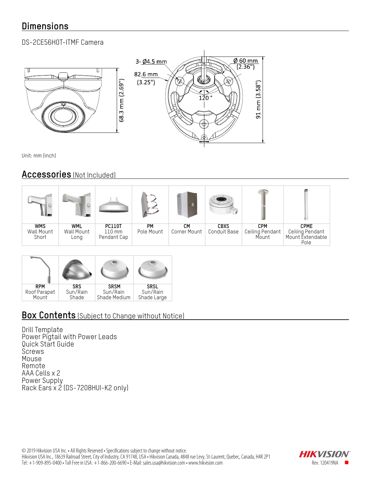# **Dimensions**

### DS-2CE56H0T-ITMF Camera



Unit: mm (inch)

### **Accessories** (Not Included)

| 11. June                          | $\ominus$                        |                                                  |                  |                    |                             |                                        |                                                            |
|-----------------------------------|----------------------------------|--------------------------------------------------|------------------|--------------------|-----------------------------|----------------------------------------|------------------------------------------------------------|
| <b>WMS</b><br>Wall Mount<br>Short | <b>WML</b><br>Wall Mount<br>Long | <b>PC110T</b><br>$110 \text{ mm}$<br>Pendant Cap | PМ<br>Pole Mount | CМ<br>Corner Mount | <b>CBXS</b><br>Conduit Base | <b>CPM</b><br>Ceiling Pendant<br>Mount | <b>CPME</b><br>Ceiling Pendant<br>Mount Extendable<br>Pole |

| <b>RPM</b>   | <b>SRS</b> | <b>SRSM</b>  | <b>SRSL</b> |
|--------------|------------|--------------|-------------|
| Roof Parapet | Sun/Rain   | Sun/Rain     | Sun/Rain    |
| Mount        | Shade      | Shade Medium | Shade Large |

## **Box Contents** (Subject to Change without Notice)

Drill Template Power Pigtail with Power Leads Quick Start Guide **Screws** Mouse Remote AAA Cells x 2 Power Supply Rack Ears x 2 (DS-7208HUI-K2 only)